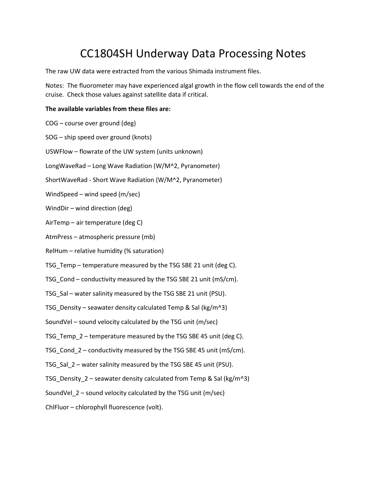# CC1804SH Underway Data Processing Notes

The raw UW data were extracted from the various Shimada instrument files.

Notes: The fluorometer may have experienced algal growth in the flow cell towards the end of the cruise. Check those values against satellite data if critical.

#### The available variables from these files are:

COG – course over ground (deg) SOG – ship speed over ground (knots) USWFlow – flowrate of the UW system (units unknown) LongWaveRad – Long Wave Radiation (W/M^2, Pyranometer) ShortWaveRad - Short Wave Radiation (W/M^2, Pyranometer) WindSpeed – wind speed (m/sec) WindDir – wind direction (deg) AirTemp – air temperature (deg C) AtmPress – atmospheric pressure (mb) RelHum – relative humidity (% saturation) TSG\_Temp – temperature measured by the TSG SBE 21 unit (deg C). TSG\_Cond – conductivity measured by the TSG SBE 21 unit (mS/cm). TSG\_Sal – water salinity measured by the TSG SBE 21 unit (PSU). TSG\_Density – seawater density calculated Temp & Sal (kg/m^3) SoundVel – sound velocity calculated by the TSG unit (m/sec) TSG\_Temp\_2 – temperature measured by the TSG SBE 45 unit (deg C). TSG\_Cond\_2 – conductivity measured by the TSG SBE 45 unit (mS/cm). TSG\_Sal\_2 – water salinity measured by the TSG SBE 45 unit (PSU). TSG Density  $2$  – seawater density calculated from Temp & Sal (kg/m^3) SoundVel  $2$  – sound velocity calculated by the TSG unit (m/sec) ChlFluor – chlorophyll fluorescence (volt).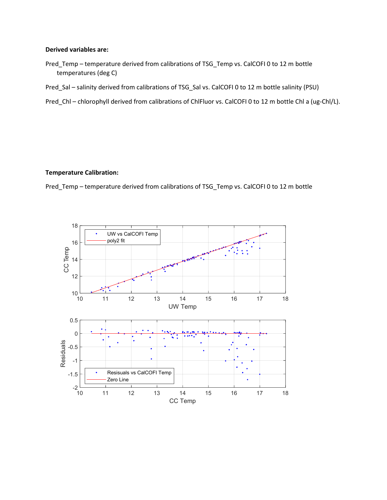#### Derived variables are:

- Pred\_Temp temperature derived from calibrations of TSG\_Temp vs. CalCOFI 0 to 12 m bottle temperatures (deg C)
- Pred\_Sal salinity derived from calibrations of TSG\_Sal vs. CalCOFI 0 to 12 m bottle salinity (PSU)
- Pred\_Chl chlorophyll derived from calibrations of ChlFluor vs. CalCOFI 0 to 12 m bottle Chl a (ug-Chl/L).

#### Temperature Calibration:

Pred\_Temp – temperature derived from calibrations of TSG\_Temp vs. CalCOFI 0 to 12 m bottle

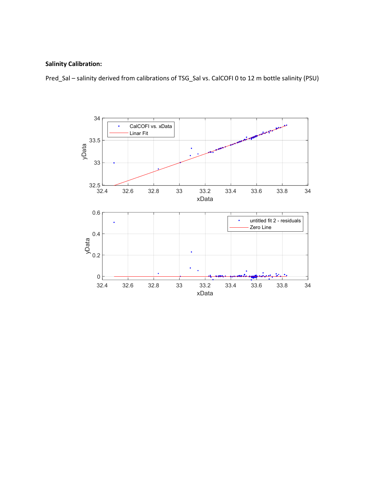### Salinity Calibration:

Pred\_Sal – salinity derived from calibrations of TSG\_Sal vs. CalCOFI 0 to 12 m bottle salinity (PSU)